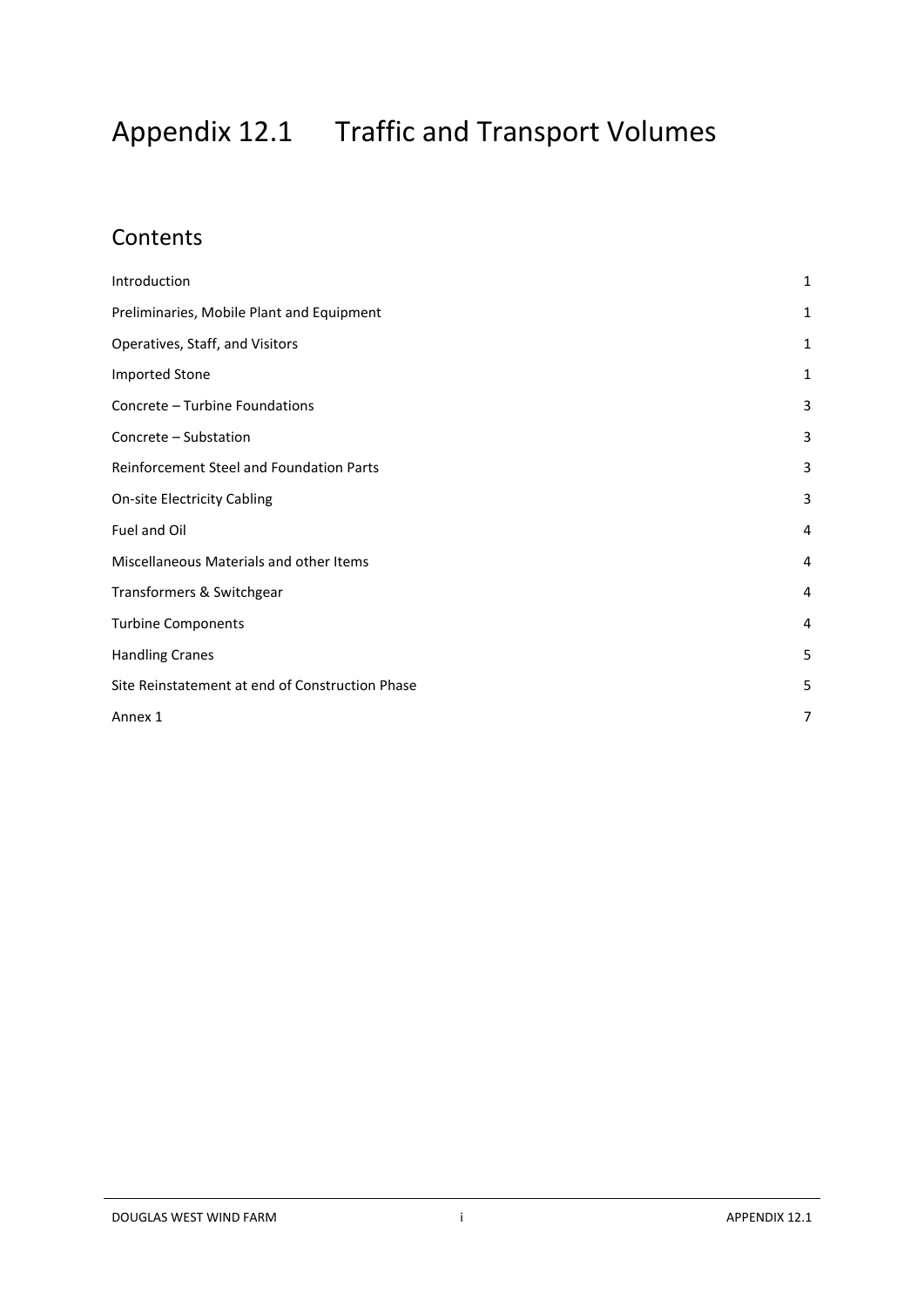# Appendix 12.1 Traffic and Transport Volumes

# **Contents**

| Introduction                                    | $\mathbf{1}$ |
|-------------------------------------------------|--------------|
| Preliminaries, Mobile Plant and Equipment       | 1            |
| Operatives, Staff, and Visitors                 | 1            |
| <b>Imported Stone</b>                           | 1            |
| Concrete - Turbine Foundations                  | 3            |
| Concrete - Substation                           | 3            |
| Reinforcement Steel and Foundation Parts        | 3            |
| <b>On-site Electricity Cabling</b>              | 3            |
| Fuel and Oil                                    | 4            |
| Miscellaneous Materials and other Items         | 4            |
| Transformers & Switchgear                       | 4            |
| <b>Turbine Components</b>                       | 4            |
| <b>Handling Cranes</b>                          | 5            |
| Site Reinstatement at end of Construction Phase | 5            |
| Annex 1                                         | 7            |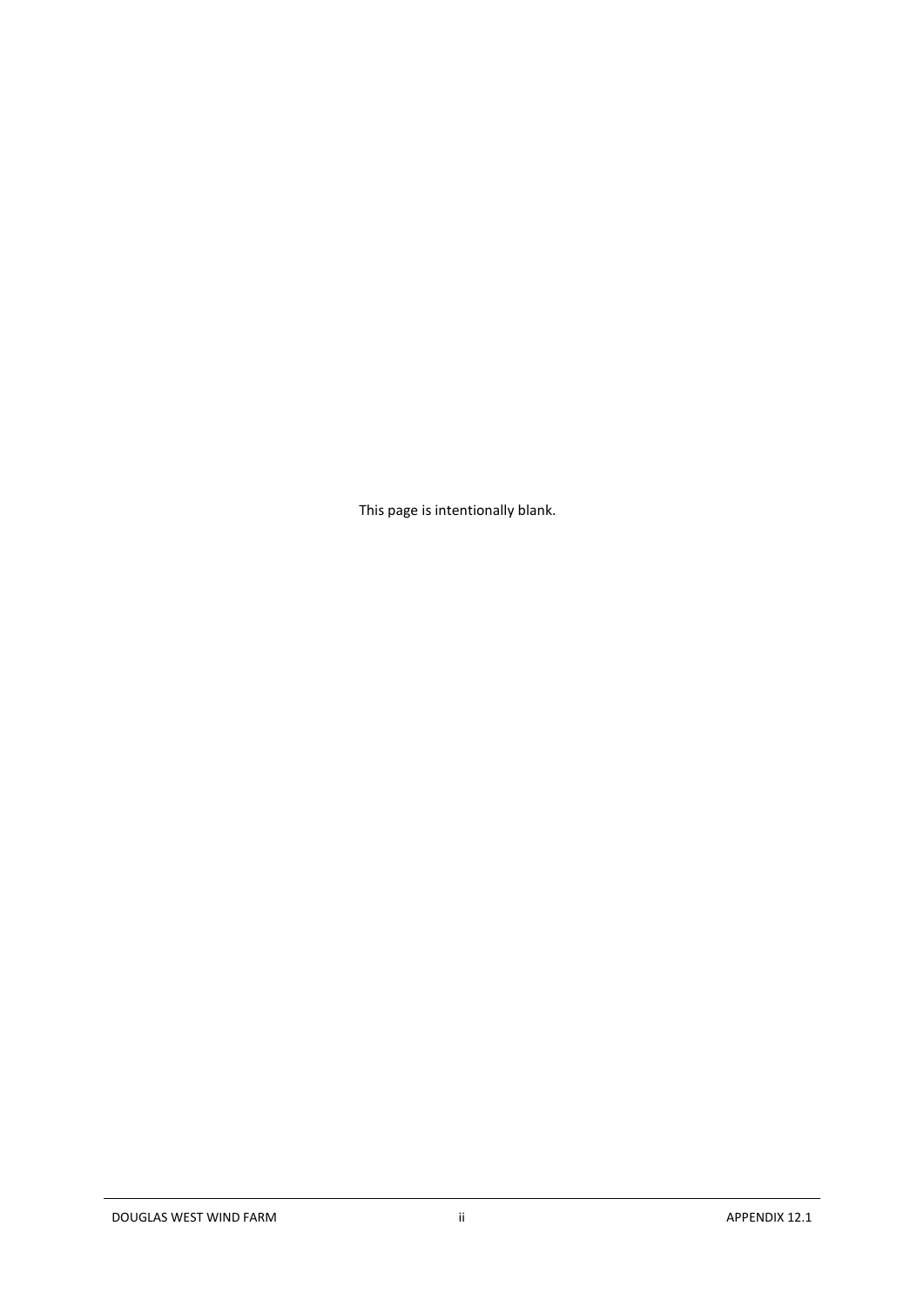This page is intentionally blank.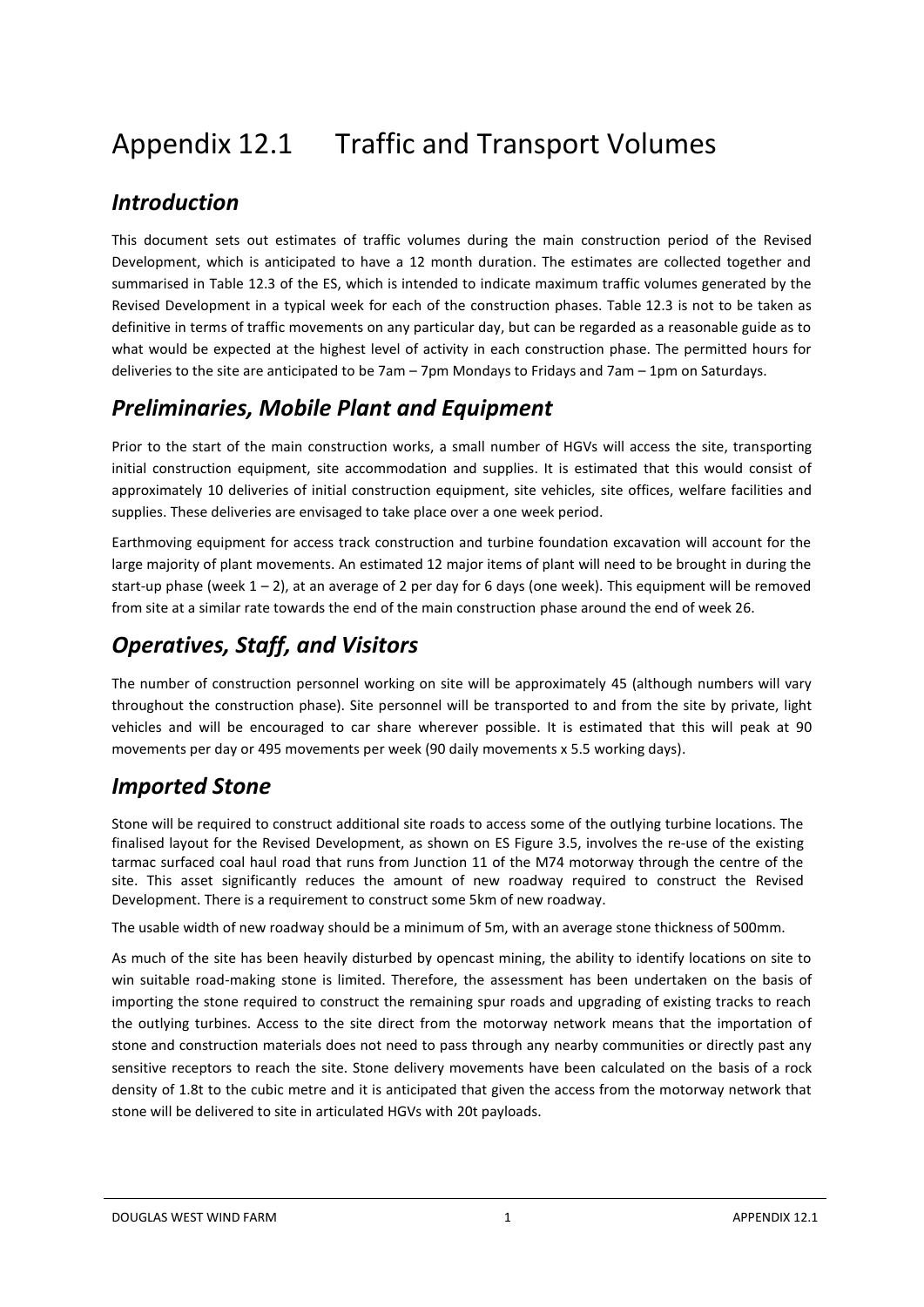# Appendix 12.1 Traffic and Transport Volumes

#### <span id="page-2-0"></span>*Introduction*

This document sets out estimates of traffic volumes during the main construction period of the Revised Development, which is anticipated to have a 12 month duration. The estimates are collected together and summarised in Table 12.3 of the ES, which is intended to indicate maximum traffic volumes generated by the Revised Development in a typical week for each of the construction phases. Table 12.3 is not to be taken as definitive in terms of traffic movements on any particular day, but can be regarded as a reasonable guide as to what would be expected at the highest level of activity in each construction phase. The permitted hours for deliveries to the site are anticipated to be 7am – 7pm Mondays to Fridays and 7am – 1pm on Saturdays.

### <span id="page-2-1"></span>*Preliminaries, Mobile Plant and Equipment*

Prior to the start of the main construction works, a small number of HGVs will access the site, transporting initial construction equipment, site accommodation and supplies. It is estimated that this would consist of approximately 10 deliveries of initial construction equipment, site vehicles, site offices, welfare facilities and supplies. These deliveries are envisaged to take place over a one week period.

Earthmoving equipment for access track construction and turbine foundation excavation will account for the large majority of plant movements. An estimated 12 major items of plant will need to be brought in during the start-up phase (week  $1 - 2$ ), at an average of 2 per day for 6 days (one week). This equipment will be removed from site at a similar rate towards the end of the main construction phase around the end of week 26.

# <span id="page-2-2"></span>*Operatives, Staff, and Visitors*

The number of construction personnel working on site will be approximately 45 (although numbers will vary throughout the construction phase). Site personnel will be transported to and from the site by private, light vehicles and will be encouraged to car share wherever possible. It is estimated that this will peak at 90 movements per day or 495 movements per week (90 daily movements x 5.5 working days).

### <span id="page-2-3"></span>*Imported Stone*

Stone will be required to construct additional site roads to access some of the outlying turbine locations. The finalised layout for the Revised Development, as shown on ES Figure 3.5, involves the re-use of the existing tarmac surfaced coal haul road that runs from Junction 11 of the M74 motorway through the centre of the site. This asset significantly reduces the amount of new roadway required to construct the Revised Development. There is a requirement to construct some 5km of new roadway.

The usable width of new roadway should be a minimum of 5m, with an average stone thickness of 500mm.

As much of the site has been heavily disturbed by opencast mining, the ability to identify locations on site to win suitable road-making stone is limited. Therefore, the assessment has been undertaken on the basis of importing the stone required to construct the remaining spur roads and upgrading of existing tracks to reach the outlying turbines. Access to the site direct from the motorway network means that the importation of stone and construction materials does not need to pass through any nearby communities or directly past any sensitive receptors to reach the site. Stone delivery movements have been calculated on the basis of a rock density of 1.8t to the cubic metre and it is anticipated that given the access from the motorway network that stone will be delivered to site in articulated HGVs with 20t payloads.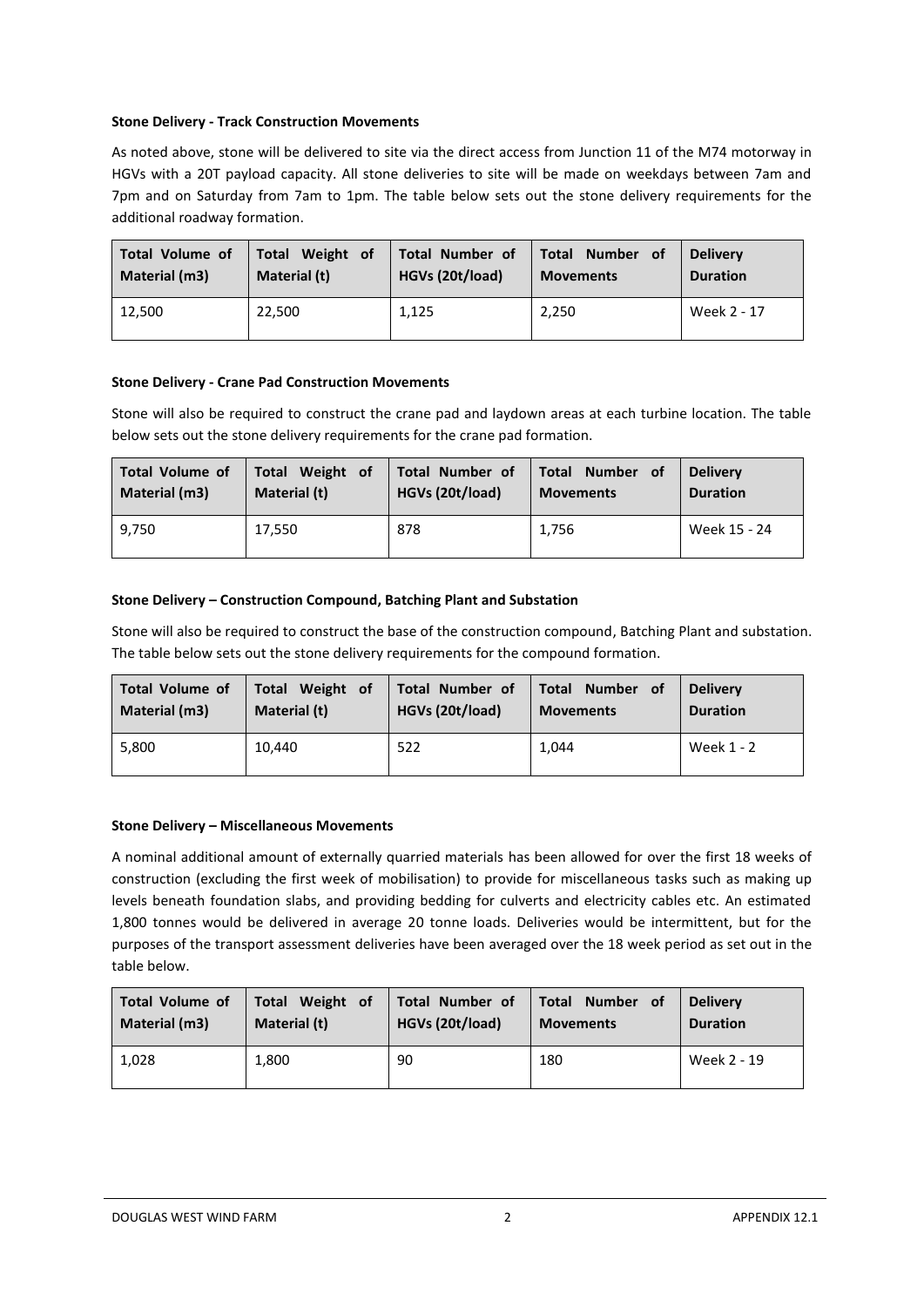#### **Stone Delivery - Track Construction Movements**

As noted above, stone will be delivered to site via the direct access from Junction 11 of the M74 motorway in HGVs with a 20T payload capacity. All stone deliveries to site will be made on weekdays between 7am and 7pm and on Saturday from 7am to 1pm. The table below sets out the stone delivery requirements for the additional roadway formation.

| Total Volume of<br>Material (m3) | Total Weight of<br>Material (t) | Total Number of<br>HGVs (20t/load) | Total Number<br>of<br><b>Movements</b> | <b>Delivery</b><br><b>Duration</b> |
|----------------------------------|---------------------------------|------------------------------------|----------------------------------------|------------------------------------|
| 12.500                           | 22,500                          | 1,125                              | 2,250                                  | Week 2 - 17                        |

#### **Stone Delivery - Crane Pad Construction Movements**

Stone will also be required to construct the crane pad and laydown areas at each turbine location. The table below sets out the stone delivery requirements for the crane pad formation.

| Total Volume of<br>Material (m3) | Total Weight of<br>Material (t) | <b>Total Number of</b><br>HGVs (20t/load) | <b>Total Number</b><br>of<br><b>Movements</b> | <b>Delivery</b><br><b>Duration</b> |
|----------------------------------|---------------------------------|-------------------------------------------|-----------------------------------------------|------------------------------------|
| 9,750                            | 17,550                          | 878                                       | 1,756                                         | Week 15 - 24                       |

#### **Stone Delivery – Construction Compound, Batching Plant and Substation**

Stone will also be required to construct the base of the construction compound, Batching Plant and substation. The table below sets out the stone delivery requirements for the compound formation.

| <b>Total Volume of</b><br>Material (m3) | Total Weight of<br>Material (t) | <b>Total Number of</b><br>HGVs (20t/load) | Total Number<br>of<br><b>Movements</b> | <b>Delivery</b><br><b>Duration</b> |
|-----------------------------------------|---------------------------------|-------------------------------------------|----------------------------------------|------------------------------------|
| 5,800                                   | 10,440                          | 522                                       | 1,044                                  | Week 1 - 2                         |

#### **Stone Delivery – Miscellaneous Movements**

A nominal additional amount of externally quarried materials has been allowed for over the first 18 weeks of construction (excluding the first week of mobilisation) to provide for miscellaneous tasks such as making up levels beneath foundation slabs, and providing bedding for culverts and electricity cables etc. An estimated 1,800 tonnes would be delivered in average 20 tonne loads. Deliveries would be intermittent, but for the purposes of the transport assessment deliveries have been averaged over the 18 week period as set out in the table below.

| Total Volume of<br>Material (m3) | Total Weight of<br>Material (t) | <b>Total Number of</b><br>HGVs (20t/load) | <b>Total Number</b><br>of<br><b>Movements</b> | <b>Delivery</b><br><b>Duration</b> |
|----------------------------------|---------------------------------|-------------------------------------------|-----------------------------------------------|------------------------------------|
| 1,028                            | 1,800                           | 90                                        | 180                                           | Week 2 - 19                        |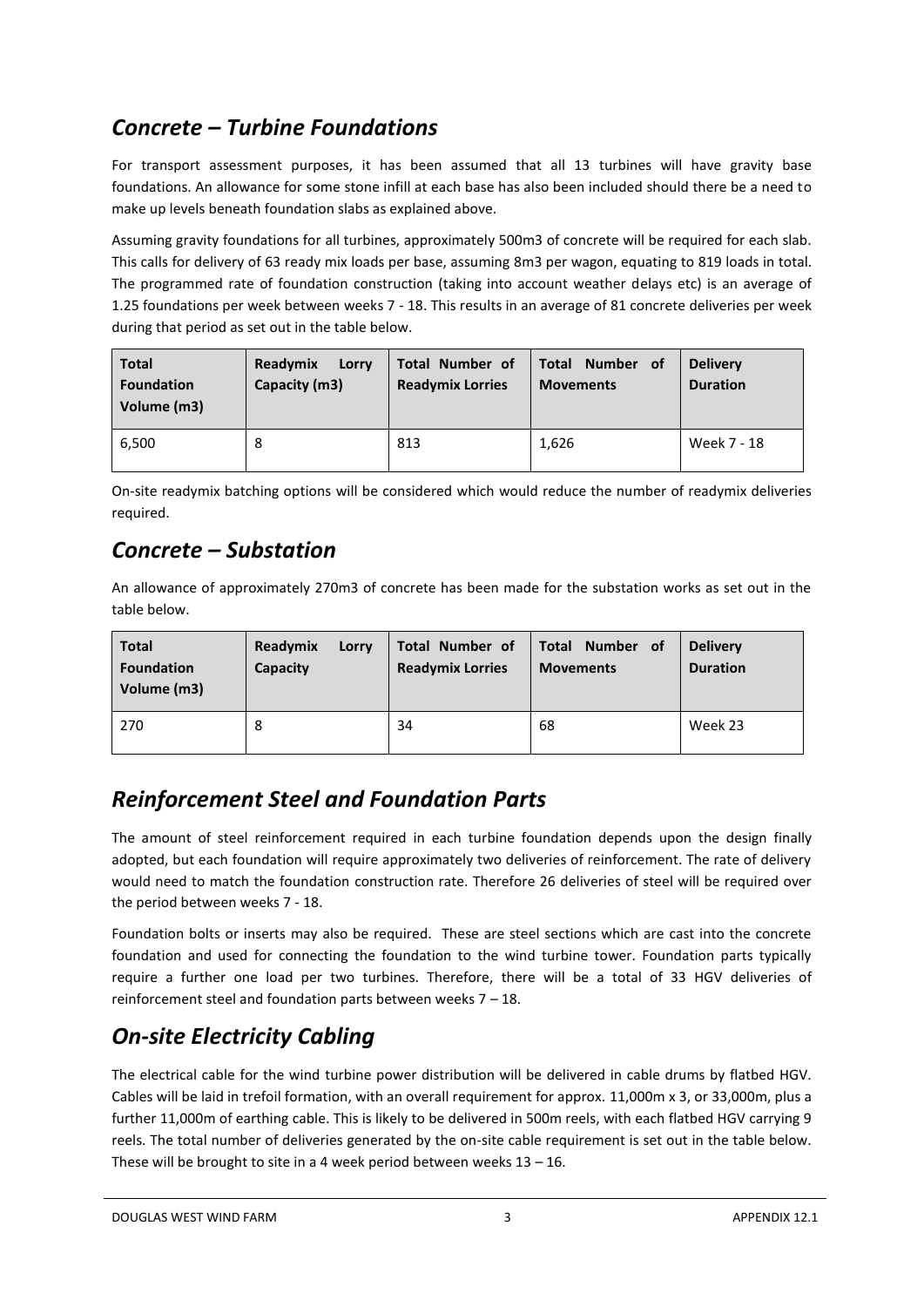## <span id="page-4-0"></span>*Concrete – Turbine Foundations*

For transport assessment purposes, it has been assumed that all 13 turbines will have gravity base foundations. An allowance for some stone infill at each base has also been included should there be a need to make up levels beneath foundation slabs as explained above.

Assuming gravity foundations for all turbines, approximately 500m3 of concrete will be required for each slab. This calls for delivery of 63 ready mix loads per base, assuming 8m3 per wagon, equating to 819 loads in total. The programmed rate of foundation construction (taking into account weather delays etc) is an average of 1.25 foundations per week between weeks 7 - 18. This results in an average of 81 concrete deliveries per week during that period as set out in the table below.

| <b>Total</b><br><b>Foundation</b><br>Volume (m3) | Lorry<br>Readymix<br>Capacity (m3) | <b>Total Number of</b><br><b>Readymix Lorries</b> | Total Number<br>of<br><b>Movements</b> | <b>Delivery</b><br><b>Duration</b> |
|--------------------------------------------------|------------------------------------|---------------------------------------------------|----------------------------------------|------------------------------------|
| 6,500                                            | 8                                  | 813                                               | 1,626                                  | Week 7 - 18                        |

On-site readymix batching options will be considered which would reduce the number of readymix deliveries required.

#### <span id="page-4-1"></span>*Concrete – Substation*

An allowance of approximately 270m3 of concrete has been made for the substation works as set out in the table below.

| <b>Total</b><br><b>Foundation</b><br>Volume (m3) | Readymix<br>Lorry<br>Capacity | Total Number of<br><b>Readymix Lorries</b> | Total Number<br>of<br><b>Movements</b> | <b>Delivery</b><br><b>Duration</b> |
|--------------------------------------------------|-------------------------------|--------------------------------------------|----------------------------------------|------------------------------------|
| 270                                              | 8                             | 34                                         | 68                                     | Week 23                            |

## <span id="page-4-2"></span>*Reinforcement Steel and Foundation Parts*

The amount of steel reinforcement required in each turbine foundation depends upon the design finally adopted, but each foundation will require approximately two deliveries of reinforcement. The rate of delivery would need to match the foundation construction rate. Therefore 26 deliveries of steel will be required over the period between weeks 7 - 18.

Foundation bolts or inserts may also be required. These are steel sections which are cast into the concrete foundation and used for connecting the foundation to the wind turbine tower. Foundation parts typically require a further one load per two turbines. Therefore, there will be a total of 33 HGV deliveries of reinforcement steel and foundation parts between weeks 7 – 18.

## <span id="page-4-3"></span>*On-site Electricity Cabling*

The electrical cable for the wind turbine power distribution will be delivered in cable drums by flatbed HGV. Cables will be laid in trefoil formation, with an overall requirement for approx. 11,000m x 3, or 33,000m, plus a further 11,000m of earthing cable. This is likely to be delivered in 500m reels, with each flatbed HGV carrying 9 reels. The total number of deliveries generated by the on-site cable requirement is set out in the table below. These will be brought to site in a 4 week period between weeks 13 – 16.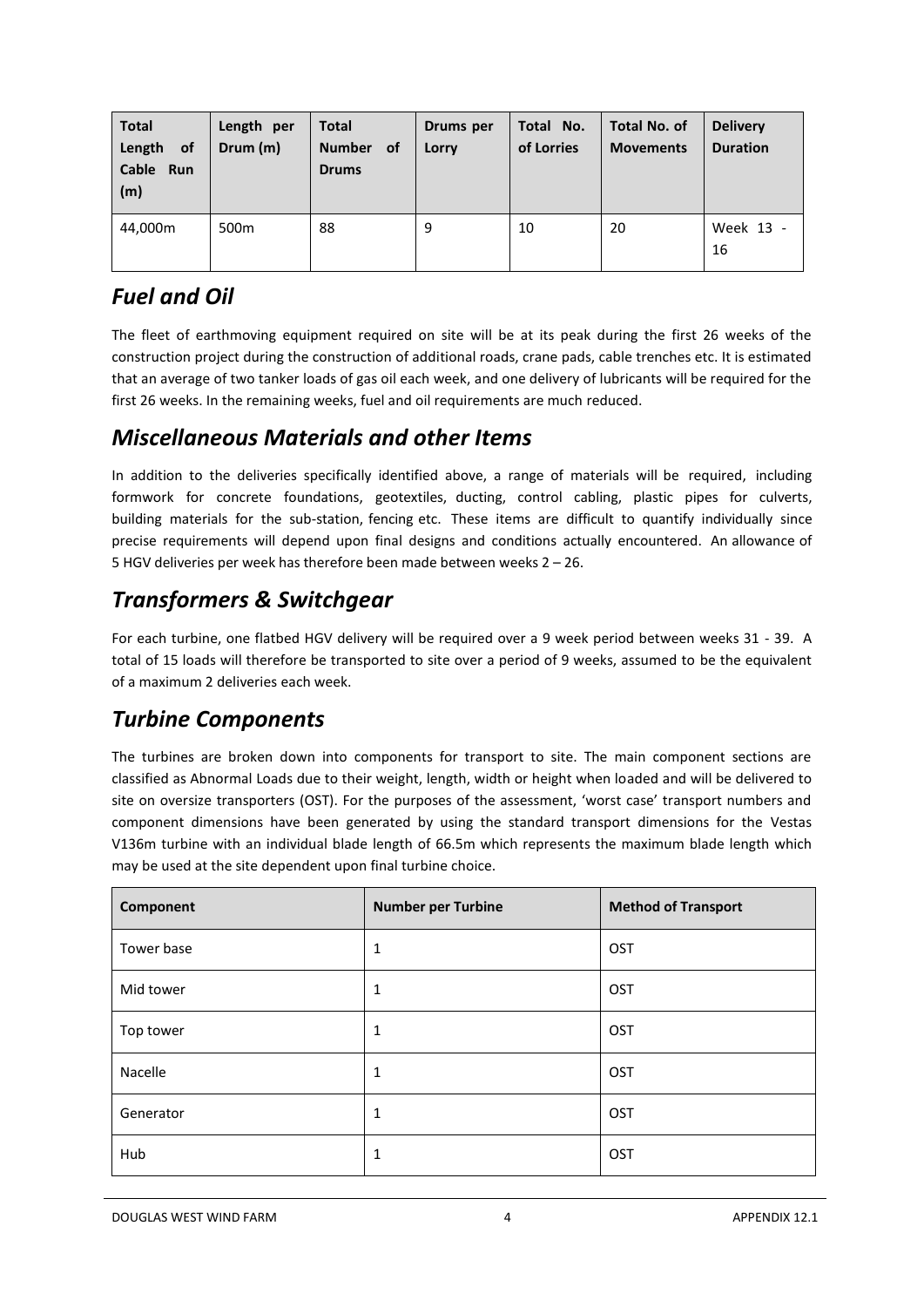| <b>Total</b><br>Length<br><b>of</b><br><b>Cable</b><br><b>Run</b><br>(m) | Length per<br>Drum $(m)$ | <b>Total</b><br><b>Number</b><br><b>of</b><br><b>Drums</b> | Drums per<br>Lorry | Total No.<br>of Lorries | Total No. of<br><b>Movements</b> | <b>Delivery</b><br><b>Duration</b> |
|--------------------------------------------------------------------------|--------------------------|------------------------------------------------------------|--------------------|-------------------------|----------------------------------|------------------------------------|
| 44,000m                                                                  | 500 <sub>m</sub>         | 88                                                         | 9                  | 10                      | 20                               | Week 13 -<br>16                    |

#### <span id="page-5-0"></span>*Fuel and Oil*

The fleet of earthmoving equipment required on site will be at its peak during the first 26 weeks of the construction project during the construction of additional roads, crane pads, cable trenches etc. It is estimated that an average of two tanker loads of gas oil each week, and one delivery of lubricants will be required for the first 26 weeks. In the remaining weeks, fuel and oil requirements are much reduced.

#### <span id="page-5-1"></span>*Miscellaneous Materials and other Items*

In addition to the deliveries specifically identified above, a range of materials will be required, including formwork for concrete foundations, geotextiles, ducting, control cabling, plastic pipes for culverts, building materials for the sub-station, fencing etc. These items are difficult to quantify individually since precise requirements will depend upon final designs and conditions actually encountered. An allowance of 5 HGV deliveries per week has therefore been made between weeks 2 – 26.

### <span id="page-5-2"></span>*Transformers & Switchgear*

For each turbine, one flatbed HGV delivery will be required over a 9 week period between weeks 31 - 39. A total of 15 loads will therefore be transported to site over a period of 9 weeks, assumed to be the equivalent of a maximum 2 deliveries each week.

#### <span id="page-5-3"></span>*Turbine Components*

The turbines are broken down into components for transport to site. The main component sections are classified as Abnormal Loads due to their weight, length, width or height when loaded and will be delivered to site on oversize transporters (OST). For the purposes of the assessment, 'worst case' transport numbers and component dimensions have been generated by using the standard transport dimensions for the Vestas V136m turbine with an individual blade length of 66.5m which represents the maximum blade length which may be used at the site dependent upon final turbine choice.

| Component  | <b>Number per Turbine</b> | <b>Method of Transport</b> |
|------------|---------------------------|----------------------------|
| Tower base | 1                         | OST                        |
| Mid tower  | 1                         | OST                        |
| Top tower  | 1                         | OST                        |
| Nacelle    | 1                         | <b>OST</b>                 |
| Generator  | 1                         | OST                        |
| Hub        | 1                         | OST                        |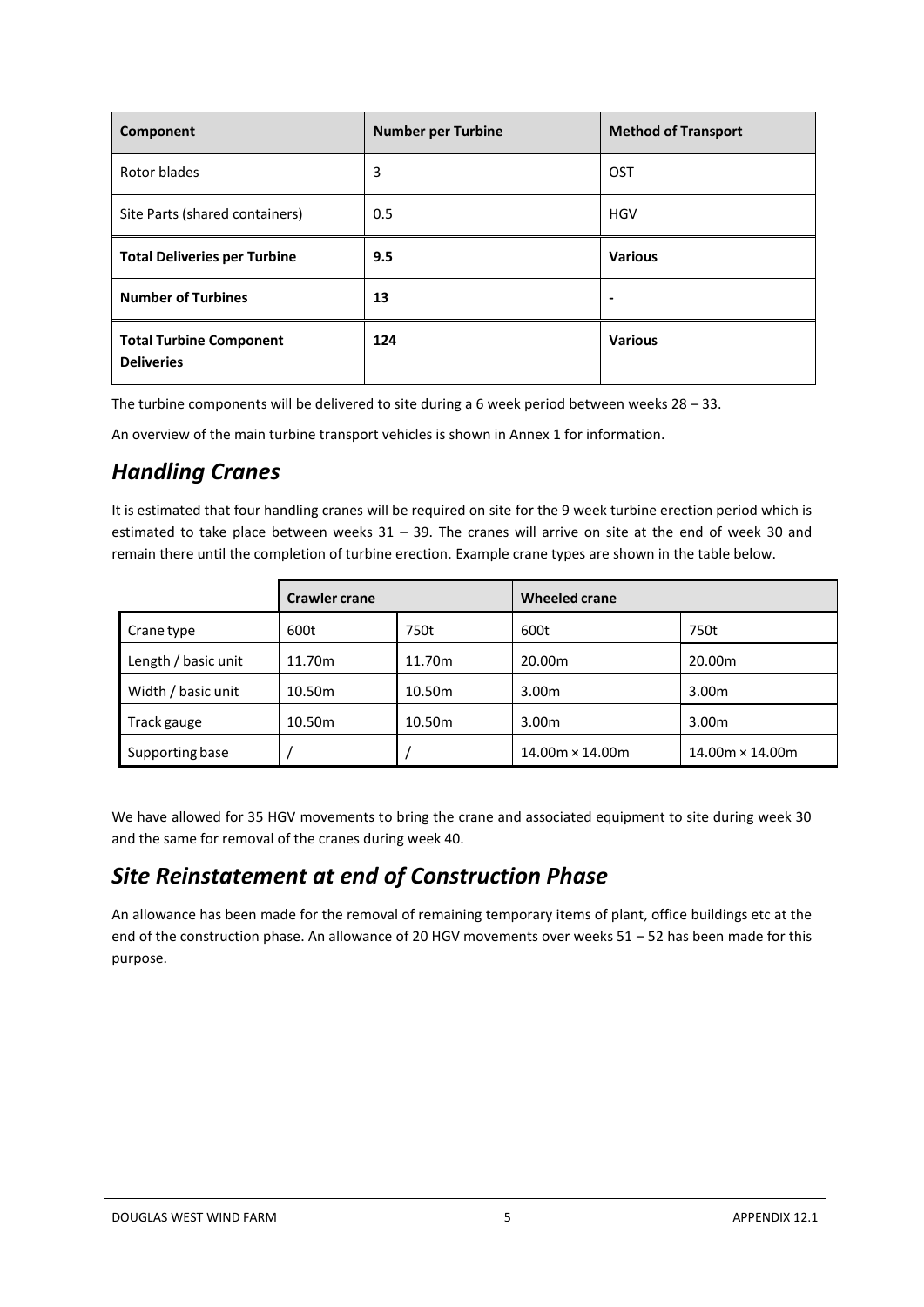| Component                                           | <b>Number per Turbine</b> | <b>Method of Transport</b> |
|-----------------------------------------------------|---------------------------|----------------------------|
| Rotor blades                                        | 3                         | <b>OST</b>                 |
| Site Parts (shared containers)                      | 0.5                       | <b>HGV</b>                 |
| <b>Total Deliveries per Turbine</b>                 | 9.5                       | <b>Various</b>             |
| <b>Number of Turbines</b>                           | 13                        | ۰                          |
| <b>Total Turbine Component</b><br><b>Deliveries</b> | 124                       | <b>Various</b>             |

The turbine components will be delivered to site during a 6 week period between weeks 28 – 33.

An overview of the main turbine transport vehicles is shown in Annex 1 for information.

#### <span id="page-6-0"></span>*Handling Cranes*

It is estimated that four handling cranes will be required on site for the 9 week turbine erection period which is estimated to take place between weeks  $31 - 39$ . The cranes will arrive on site at the end of week 30 and remain there until the completion of turbine erection. Example crane types are shown in the table below.

|                     | <b>Crawler crane</b> |        | Wheeled crane          |                        |
|---------------------|----------------------|--------|------------------------|------------------------|
| Crane type          | 600t                 | 750t   | 600t                   | 750t                   |
| Length / basic unit | 11.70m               | 11.70m | 20.00m                 | 20.00m                 |
| Width / basic unit  | 10.50m               | 10.50m | 3.00 <sub>m</sub>      | 3.00 <sub>m</sub>      |
| Track gauge         | 10.50m               | 10.50m | 3.00 <sub>m</sub>      | 3.00 <sub>m</sub>      |
| Supporting base     |                      |        | $14.00m \times 14.00m$ | $14.00m \times 14.00m$ |

We have allowed for 35 HGV movements to bring the crane and associated equipment to site during week 30 and the same for removal of the cranes during week 40.

### <span id="page-6-1"></span>*Site Reinstatement at end of Construction Phase*

An allowance has been made for the removal of remaining temporary items of plant, office buildings etc at the end of the construction phase. An allowance of 20 HGV movements over weeks 51 – 52 has been made for this purpose.